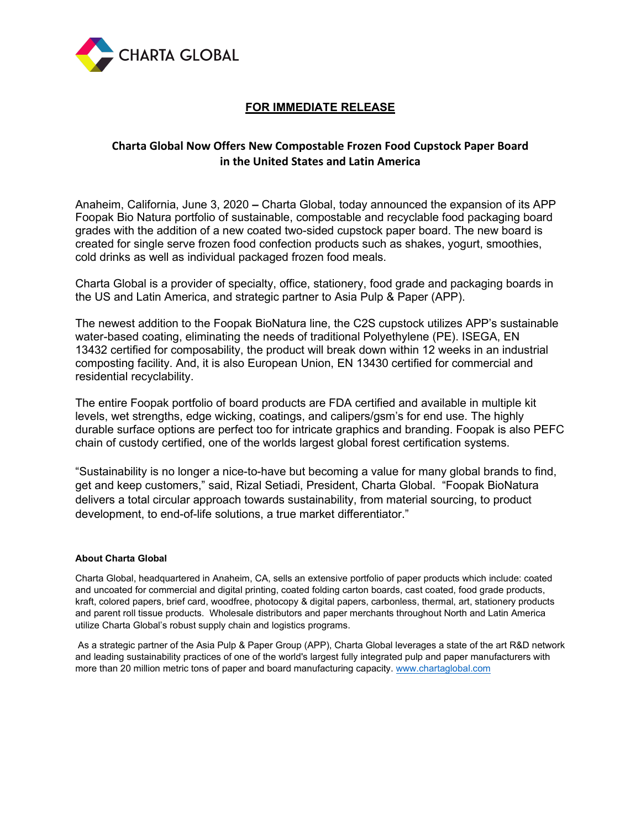

# **FOR IMMEDIATE RELEASE**

## **Charta Global Now Offers New Compostable Frozen Food Cupstock Paper Board in the United States and Latin America**

Anaheim, California, June 3, 2020 **–** Charta Global, today announced the expansion of its APP Foopak Bio Natura portfolio of sustainable, compostable and recyclable food packaging board grades with the addition of a new coated two-sided cupstock paper board. The new board is created for single serve frozen food confection products such as shakes, yogurt, smoothies, cold drinks as well as individual packaged frozen food meals.

Charta Global is a provider of specialty, office, stationery, food grade and packaging boards in the US and Latin America, and strategic partner to Asia Pulp & Paper (APP).

The newest addition to the Foopak BioNatura line, the C2S cupstock utilizes APP's sustainable water-based coating, eliminating the needs of traditional Polyethylene (PE). ISEGA, EN 13432 certified for composability, the product will break down within 12 weeks in an industrial composting facility. And, it is also European Union, EN 13430 certified for commercial and residential recyclability.

The entire Foopak portfolio of board products are FDA certified and available in multiple kit levels, wet strengths, edge wicking, coatings, and calipers/gsm's for end use. The highly durable surface options are perfect too for intricate graphics and branding. Foopak is also PEFC chain of custody certified, one of the worlds largest global forest certification systems.

"Sustainability is no longer a nice-to-have but becoming a value for many global brands to find, get and keep customers," said, Rizal Setiadi, President, Charta Global. "Foopak BioNatura delivers a total circular approach towards sustainability, from material sourcing, to product development, to end-of-life solutions, a true market differentiator."

### **About Charta Global**

Charta Global, headquartered in Anaheim, CA, sells an extensive portfolio of paper products which include: coated and uncoated for commercial and digital printing, coated folding carton boards, cast coated, food grade products, kraft, colored papers, brief card, woodfree, photocopy & digital papers, carbonless, thermal, art, stationery products and parent roll tissue products. Wholesale distributors and paper merchants throughout North and Latin America utilize Charta Global's robust supply chain and logistics programs.

As a strategic partner of the Asia Pulp & Paper Group (APP), Charta Global leverages a state of the art R&D network and leading sustainability practices of one of the world's largest fully integrated pulp and paper manufacturers with more than 20 million metric tons of paper and board manufacturing capacity. [www.chartaglobal.com](http://www.chartaglobal.com/)